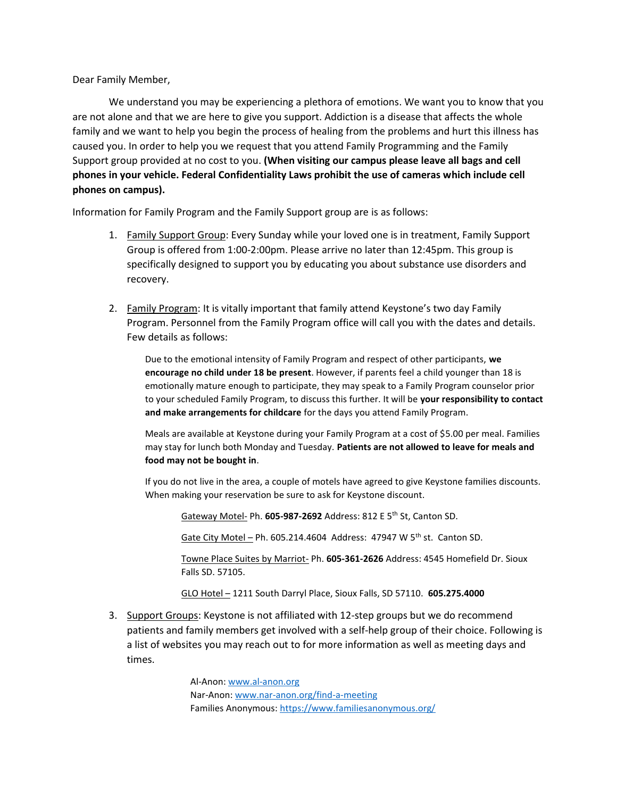Dear Family Member,

We understand you may be experiencing a plethora of emotions. We want you to know that you are not alone and that we are here to give you support. Addiction is a disease that affects the whole family and we want to help you begin the process of healing from the problems and hurt this illness has caused you. In order to help you we request that you attend Family Programming and the Family Support group provided at no cost to you. **(When visiting our campus please leave all bags and cell phones in your vehicle. Federal Confidentiality Laws prohibit the use of cameras which include cell phones on campus).**

Information for Family Program and the Family Support group are is as follows:

- 1. Family Support Group: Every Sunday while your loved one is in treatment, Family Support Group is offered from 1:00-2:00pm. Please arrive no later than 12:45pm. This group is specifically designed to support you by educating you about substance use disorders and recovery.
- 2. Family Program: It is vitally important that family attend Keystone's two day Family Program. Personnel from the Family Program office will call you with the dates and details. Few details as follows:

Due to the emotional intensity of Family Program and respect of other participants, **we encourage no child under 18 be present**. However, if parents feel a child younger than 18 is emotionally mature enough to participate, they may speak to a Family Program counselor prior to your scheduled Family Program, to discuss this further. It will be **your responsibility to contact and make arrangements for childcare** for the days you attend Family Program.

Meals are available at Keystone during your Family Program at a cost of \$5.00 per meal. Families may stay for lunch both Monday and Tuesday. **Patients are not allowed to leave for meals and food may not be bought in**.

If you do not live in the area, a couple of motels have agreed to give Keystone families discounts. When making your reservation be sure to ask for Keystone discount.

Gateway Motel- Ph. **605-987-2692** Address: 812 E 5th St, Canton SD.

Gate City Motel – Ph. 605.214.4604 Address: 47947 W  $5<sup>th</sup>$  st. Canton SD.

Towne Place Suites by Marriot- Ph. **605-361-2626** Address: 4545 Homefield Dr. Sioux Falls SD. 57105.

GLO Hotel – 1211 South Darryl Place, Sioux Falls, SD 57110. **605.275.4000**

3. Support Groups: Keystone is not affiliated with 12-step groups but we do recommend patients and family members get involved with a self-help group of their choice. Following is a list of websites you may reach out to for more information as well as meeting days and times.

> Al-Anon[: www.al-anon.org](http://www.al-anon.org/) Nar-Anon[: www.nar-anon.org/find-a-meeting](http://www.nar-anon.org/find-a-meeting) Families Anonymous:<https://www.familiesanonymous.org/>